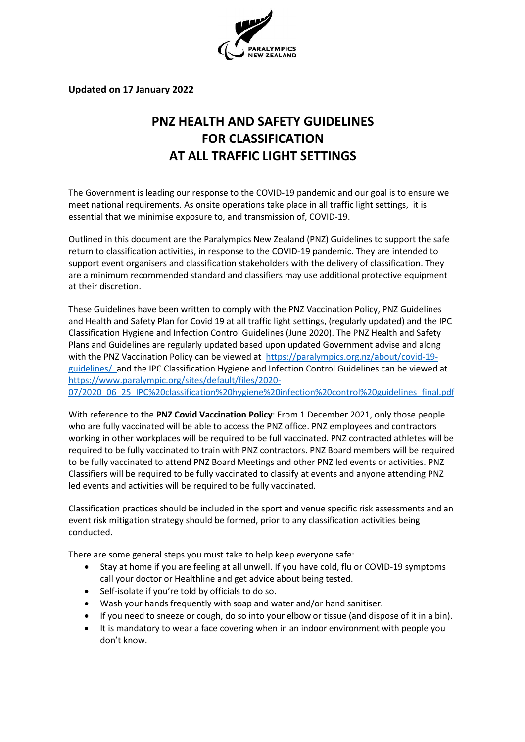

**Updated on 17 January 2022**

# **PNZ HEALTH AND SAFETY GUIDELINES FOR CLASSIFICATION AT ALL TRAFFIC LIGHT SETTINGS**

The Government is leading our response to the COVID-19 pandemic and our goal is to ensure we meet national requirements. As onsite operations take place in all traffic light settings, it is essential that we minimise exposure to, and transmission of, COVID-19.

Outlined in this document are the Paralympics New Zealand (PNZ) Guidelines to support the safe return to classification activities, in response to the COVID-19 pandemic. They are intended to support event organisers and classification stakeholders with the delivery of classification. They are a minimum recommended standard and classifiers may use additional protective equipment at their discretion.

These Guidelines have been written to comply with the PNZ Vaccination Policy, PNZ Guidelines and Health and Safety Plan for Covid 19 at all traffic light settings, (regularly updated) and the IPC Classification Hygiene and Infection Control Guidelines (June 2020). The PNZ Health and Safety Plans and Guidelines are regularly updated based upon updated Government advise and along with the PNZ Vaccination Policy can be viewed at [https://paralympics.org.nz/about/covid-19](https://paralympics.org.nz/about/covid-19-guidelines/) [guidelines/](https://paralympics.org.nz/about/covid-19-guidelines/) and the IPC Classification Hygiene and Infection Control Guidelines can be viewed at [https://www.paralympic.org/sites/default/files/2020-](https://www.paralympic.org/sites/default/files/2020-07/2020_06_25_IPC%20classification%20hygiene%20infection%20control%20guidelines_final.pdf) [07/2020\\_06\\_25\\_IPC%20classification%20hygiene%20infection%20control%20guidelines\\_final.pdf](https://www.paralympic.org/sites/default/files/2020-07/2020_06_25_IPC%20classification%20hygiene%20infection%20control%20guidelines_final.pdf)

With reference to the **PNZ Covid Vaccination Policy**: From 1 December 2021, only those people who are fully vaccinated will be able to access the PNZ office. PNZ employees and contractors working in other workplaces will be required to be full vaccinated. PNZ contracted athletes will be required to be fully vaccinated to train with PNZ contractors. PNZ Board members will be required to be fully vaccinated to attend PNZ Board Meetings and other PNZ led events or activities. PNZ Classifiers will be required to be fully vaccinated to classify at events and anyone attending PNZ led events and activities will be required to be fully vaccinated.

Classification practices should be included in the sport and venue specific risk assessments and an event risk mitigation strategy should be formed, prior to any classification activities being conducted.

There are some general steps you must take to help keep everyone safe:

- Stay at home if you are feeling at all unwell. If you have cold, flu or COVID-19 symptoms call your doctor or Healthline and get advice about being tested.
- Self-isolate if you're told by officials to do so.
- Wash your hands frequently with soap and water and/or hand sanitiser.
- If you need to sneeze or cough, do so into your elbow or tissue (and dispose of it in a bin).
- It is mandatory to wear a face covering when in an indoor environment with people you don't know.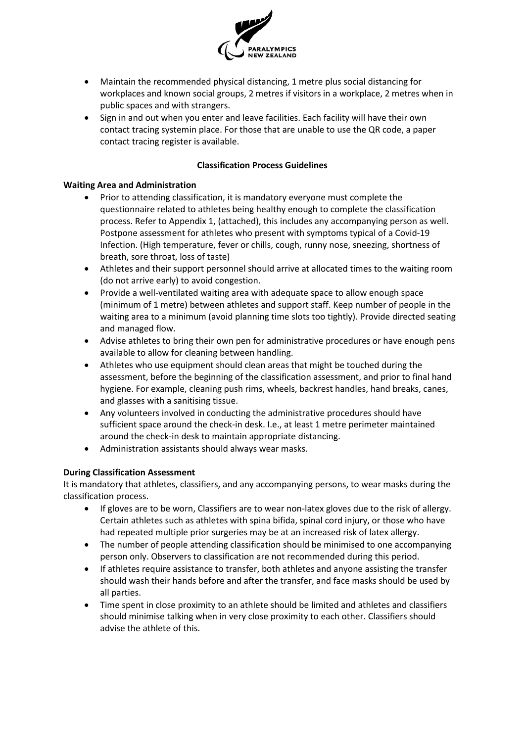

- Maintain the recommended physical distancing, 1 metre plus social distancing for workplaces and known social groups, 2 metres if visitors in a workplace, 2 metres when in public spaces and with strangers.
- Sign in and out when you enter and leave facilities. Each facility will have their own contact tracing systemin place. For those that are unable to use the QR code, a paper contact tracing register is available.

#### **Classification Process Guidelines**

#### **Waiting Area and Administration**

- Prior to attending classification, it is mandatory everyone must complete the questionnaire related to athletes being healthy enough to complete the classification process. Refer to Appendix 1, (attached), this includes any accompanying person as well. Postpone assessment for athletes who present with symptoms typical of a Covid-19 Infection. (High temperature, fever or chills, cough, runny nose, sneezing, shortness of breath, sore throat, loss of taste)
- Athletes and their support personnel should arrive at allocated times to the waiting room (do not arrive early) to avoid congestion.
- Provide a well-ventilated waiting area with adequate space to allow enough space (minimum of 1 metre) between athletes and support staff. Keep number of people in the waiting area to a minimum (avoid planning time slots too tightly). Provide directed seating and managed flow.
- Advise athletes to bring their own pen for administrative procedures or have enough pens available to allow for cleaning between handling.
- Athletes who use equipment should clean areas that might be touched during the assessment, before the beginning of the classification assessment, and prior to final hand hygiene. For example, cleaning push rims, wheels, backrest handles, hand breaks, canes, and glasses with a sanitising tissue.
- Any volunteers involved in conducting the administrative procedures should have sufficient space around the check-in desk. I.e., at least 1 metre perimeter maintained around the check-in desk to maintain appropriate distancing.
- Administration assistants should always wear masks.

### **During Classification Assessment**

It is mandatory that athletes, classifiers, and any accompanying persons, to wear masks during the classification process.

- If gloves are to be worn, Classifiers are to wear non-latex gloves due to the risk of allergy. Certain athletes such as athletes with spina bifida, spinal cord injury, or those who have had repeated multiple prior surgeries may be at an increased risk of latex allergy.
- The number of people attending classification should be minimised to one accompanying person only. Observers to classification are not recommended during this period.
- If athletes require assistance to transfer, both athletes and anyone assisting the transfer should wash their hands before and after the transfer, and face masks should be used by all parties.
- Time spent in close proximity to an athlete should be limited and athletes and classifiers should minimise talking when in very close proximity to each other. Classifiers should advise the athlete of this.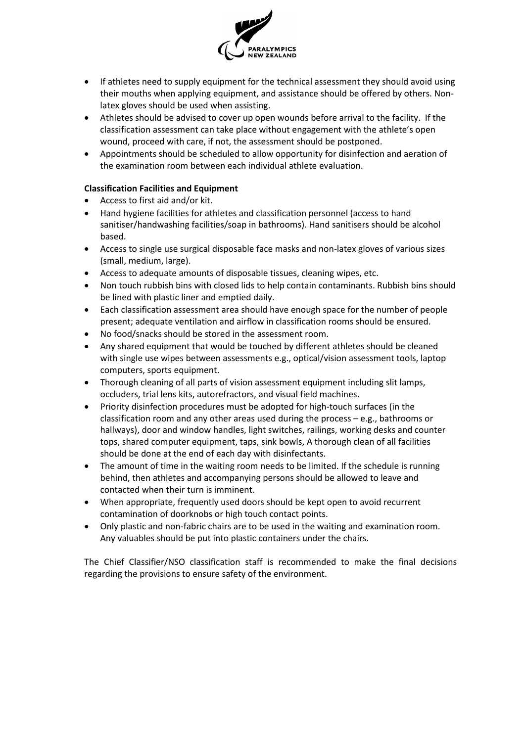

- If athletes need to supply equipment for the technical assessment they should avoid using their mouths when applying equipment, and assistance should be offered by others. Nonlatex gloves should be used when assisting.
- Athletes should be advised to cover up open wounds before arrival to the facility. If the classification assessment can take place without engagement with the athlete's open wound, proceed with care, if not, the assessment should be postponed.
- Appointments should be scheduled to allow opportunity for disinfection and aeration of the examination room between each individual athlete evaluation.

## **Classification Facilities and Equipment**

- Access to first aid and/or kit.
- Hand hygiene facilities for athletes and classification personnel (access to hand sanitiser/handwashing facilities/soap in bathrooms). Hand sanitisers should be alcohol based.
- Access to single use surgical disposable face masks and non-latex gloves of various sizes (small, medium, large).
- Access to adequate amounts of disposable tissues, cleaning wipes, etc.
- Non touch rubbish bins with closed lids to help contain contaminants. Rubbish bins should be lined with plastic liner and emptied daily.
- Each classification assessment area should have enough space for the number of people present; adequate ventilation and airflow in classification rooms should be ensured.
- No food/snacks should be stored in the assessment room.
- Any shared equipment that would be touched by different athletes should be cleaned with single use wipes between assessments e.g., optical/vision assessment tools, laptop computers, sports equipment.
- Thorough cleaning of all parts of vision assessment equipment including slit lamps, occluders, trial lens kits, autorefractors, and visual field machines.
- Priority disinfection procedures must be adopted for high-touch surfaces (in the classification room and any other areas used during the process – e.g., bathrooms or hallways), door and window handles, light switches, railings, working desks and counter tops, shared computer equipment, taps, sink bowls, A thorough clean of all facilities should be done at the end of each day with disinfectants.
- The amount of time in the waiting room needs to be limited. If the schedule is running behind, then athletes and accompanying persons should be allowed to leave and contacted when their turn is imminent.
- When appropriate, frequently used doors should be kept open to avoid recurrent contamination of doorknobs or high touch contact points.
- Only plastic and non-fabric chairs are to be used in the waiting and examination room. Any valuables should be put into plastic containers under the chairs.

The Chief Classifier/NSO classification staff is recommended to make the final decisions regarding the provisions to ensure safety of the environment.